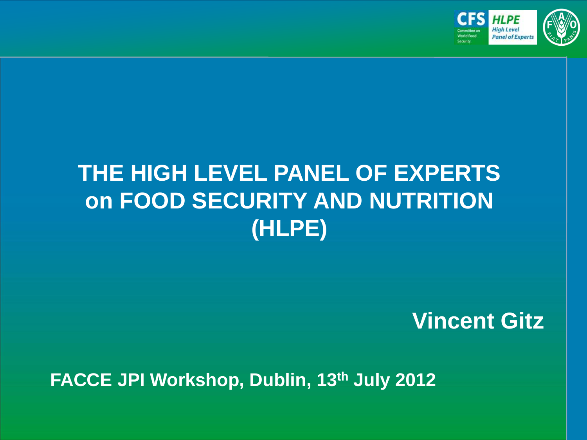

### **THE HIGH LEVEL PANEL OF EXPERTS on FOOD SECURITY AND NUTRITION (HLPE)**

**Vincent Gitz**

**FACCE JPI Workshop, Dublin, 13th July 2012**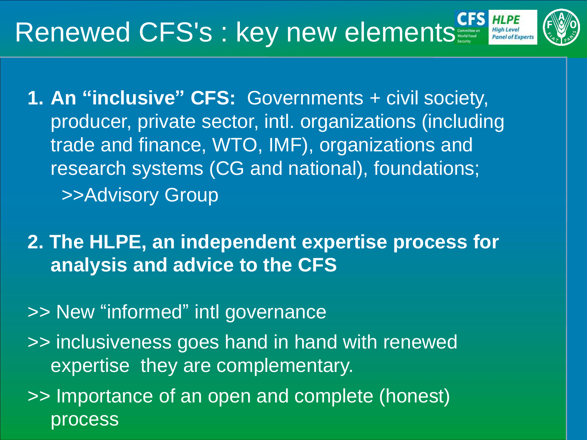## Renewed CFS's : key new elements

- 
- **1. An "inclusive" CFS:** Governments + civil society, producer, private sector, intl. organizations (including trade and finance, WTO, IMF), organizations and research systems (CG and national), foundations; >>Advisory Group
- **2. The HLPE, an independent expertise process for analysis and advice to the CFS**
- >> New "informed" intl governance
- >> inclusiveness goes hand in hand with renewed expertise they are complementary.
- >> Importance of an open and complete (honest) process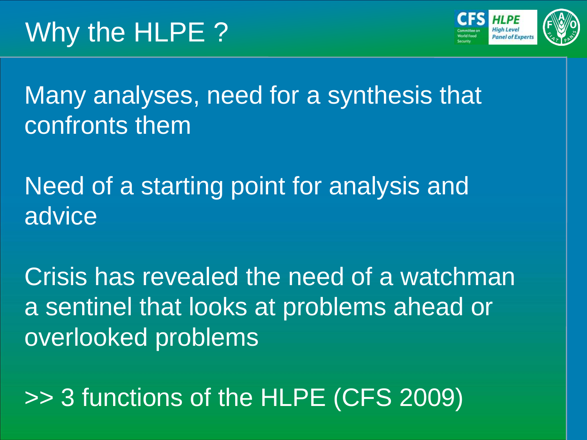

Many analyses, need for a synthesis that confronts them

Need of a starting point for analysis and advice

Crisis has revealed the need of a watchman a sentinel that looks at problems ahead or overlooked problems

>> 3 functions of the HLPE (CFS 2009)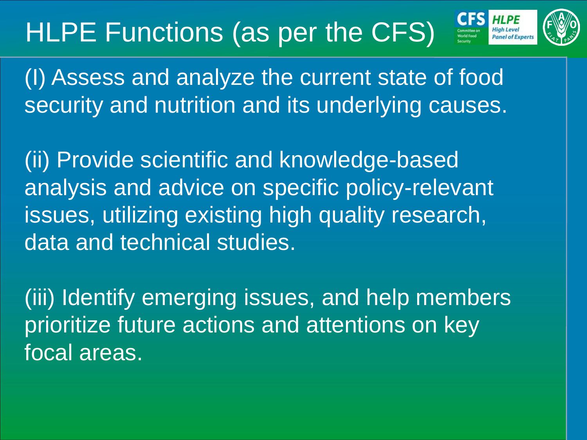## HLPE Functions (as per the CFS)



(I) Assess and analyze the current state of food security and nutrition and its underlying causes.

(ii) Provide scientific and knowledge-based analysis and advice on specific policy-relevant issues, utilizing existing high quality research, data and technical studies.

(iii) Identify emerging issues, and help members prioritize future actions and attentions on key focal areas.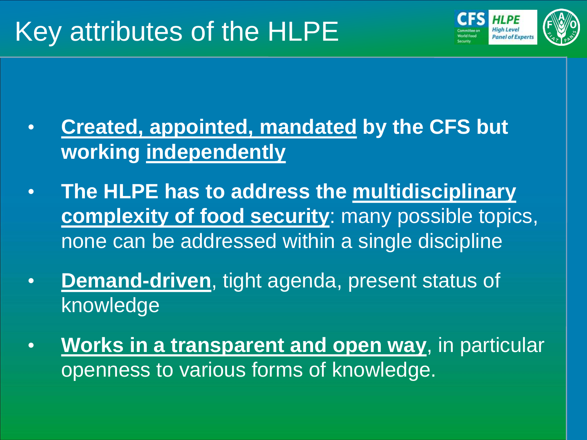

- **Created, appointed, mandated by the CFS but working independently**
- **The HLPE has to address the multidisciplinary complexity of food security**: many possible topics, none can be addressed within a single discipline
- **Demand-driven**, tight agenda, present status of knowledge
- **Works in a transparent and open way**, in particular openness to various forms of knowledge.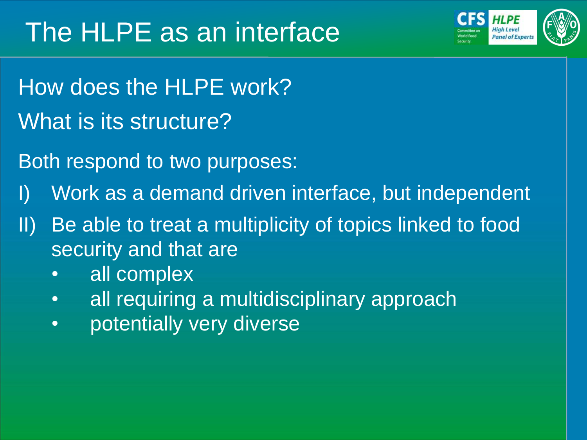

- How does the HLPE work? What is its structure?
- Both respond to two purposes:
- I) Work as a demand driven interface, but independent
- II) Be able to treat a multiplicity of topics linked to food security and that are
	- all complex
	- all requiring a multidisciplinary approach
	- potentially very diverse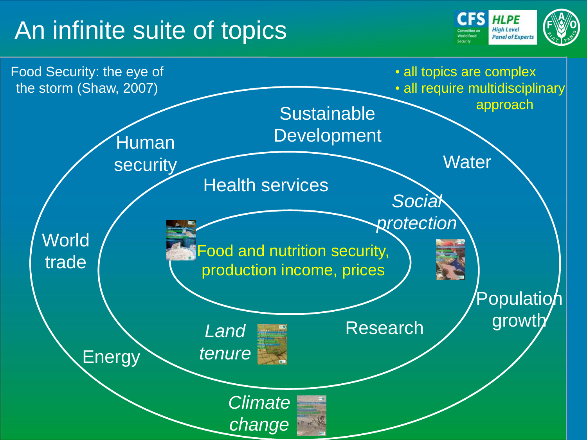### An infinite suite of topics



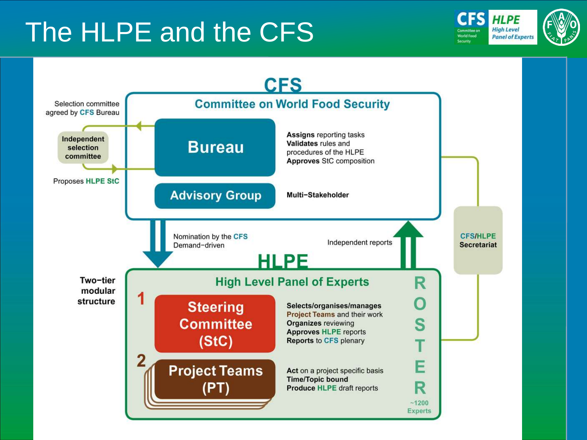## The HLPE and the CFS



**HLPE High Level Panel of Experts**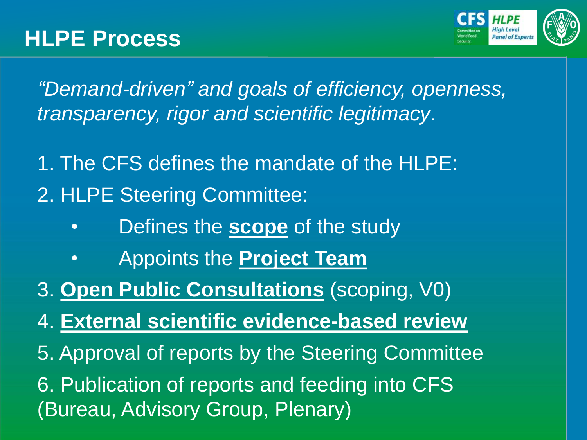

*"Demand-driven" and goals of efficiency, openness, transparency, rigor and scientific legitimacy*.

1. The CFS defines the mandate of the HLPE: 2. HLPE Steering Committee:

- Defines the **scope** of the study
- Appoints the **Project Team**
- 3. **Open Public Consultations** (scoping, V0)
- 4. **External scientific evidence-based review**
- 5. Approval of reports by the Steering Committee

6. Publication of reports and feeding into CFS (Bureau, Advisory Group, Plenary)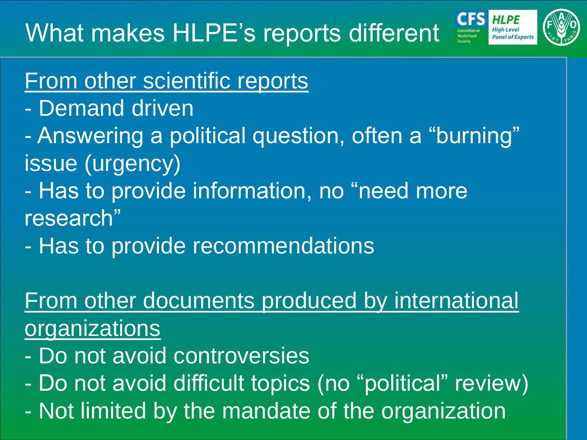

### From other scientific reports

- Demand driven
- Answering a political question, often a "burning" issue (urgency)
- Has to provide information, no "need more research"
- Has to provide recommendations

### From other documents produced by international organizations

- Do not avoid controversies
- Do not avoid difficult topics (no "political" review)
- Not limited by the mandate of the organization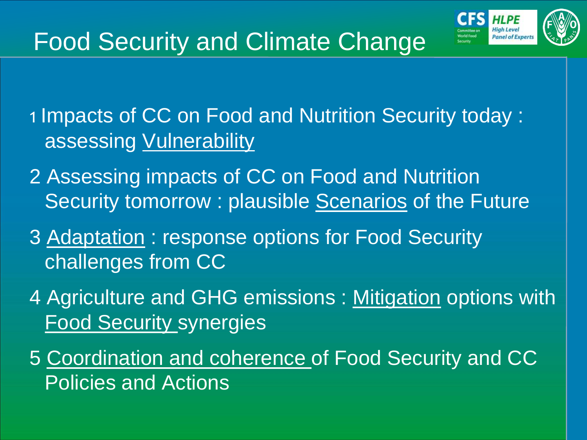

### Food Security and Climate Change

1 Impacts of CC on Food and Nutrition Security today : assessing Vulnerability

- 2 Assessing impacts of CC on Food and Nutrition Security tomorrow : plausible Scenarios of the Future
- 3 Adaptation : response options for Food Security challenges from CC
- 4 Agriculture and GHG emissions: Mitigation options with Food Security synergies
- 5 Coordination and coherence of Food Security and CC Policies and Actions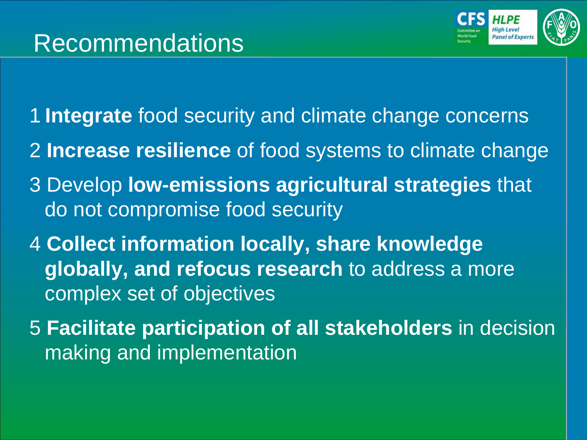

- 1 **Integrate** food security and climate change concerns
- 2 **Increase resilience** of food systems to climate change
- 3 Develop **low-emissions agricultural strategies** that do not compromise food security
- 4 **Collect information locally, share knowledge globally, and refocus research** to address a more complex set of objectives
- 5 **Facilitate participation of all stakeholders** in decision making and implementation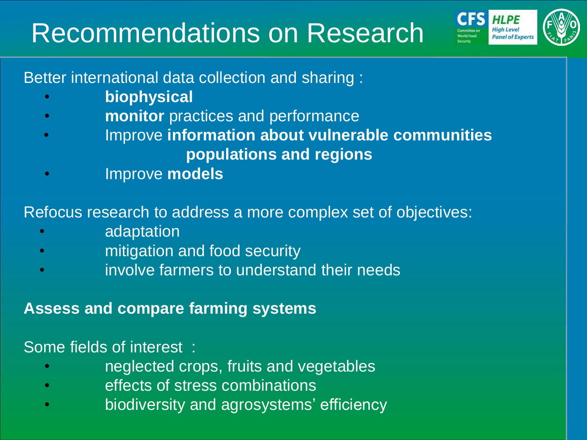## Recommendations on Research



Better international data collection and sharing :

- **biophysical**
- **monitor** practices and performance
- Improve **information about vulnerable communities populations and regions**
- Improve **models**

#### Refocus research to address a more complex set of objectives:

- adaptation
- mitigation and food security
- involve farmers to understand their needs

#### **Assess and compare farming systems**

#### Some fields of interest :

- neglected crops, fruits and vegetables
- effects of stress combinations
- biodiversity and agrosystems' efficiency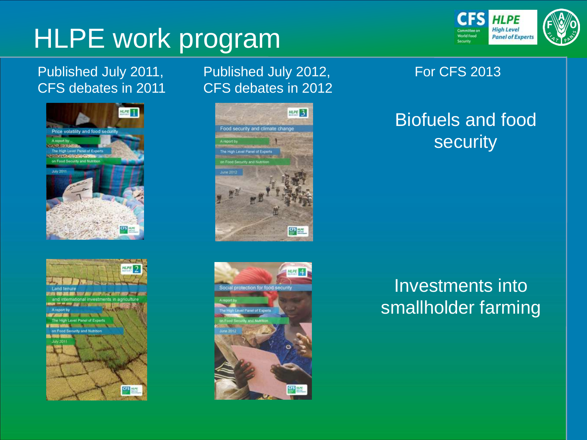## HLPE work program

#### Published July 2011, CFS debates in 2011





#### Published July 2012, CFS debates in 2012





#### For CFS 2013

#### Biofuels and food security

#### Investments into smallholder farming

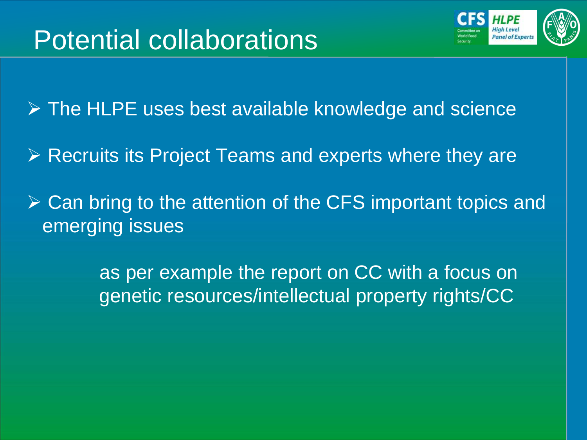

**▶ The HLPE uses best available knowledge and science** 

- $\triangleright$  Recruits its Project Teams and experts where they are
- $\triangleright$  Can bring to the attention of the CFS important topics and emerging issues

 as per example the report on CC with a focus on genetic resources/intellectual property rights/CC